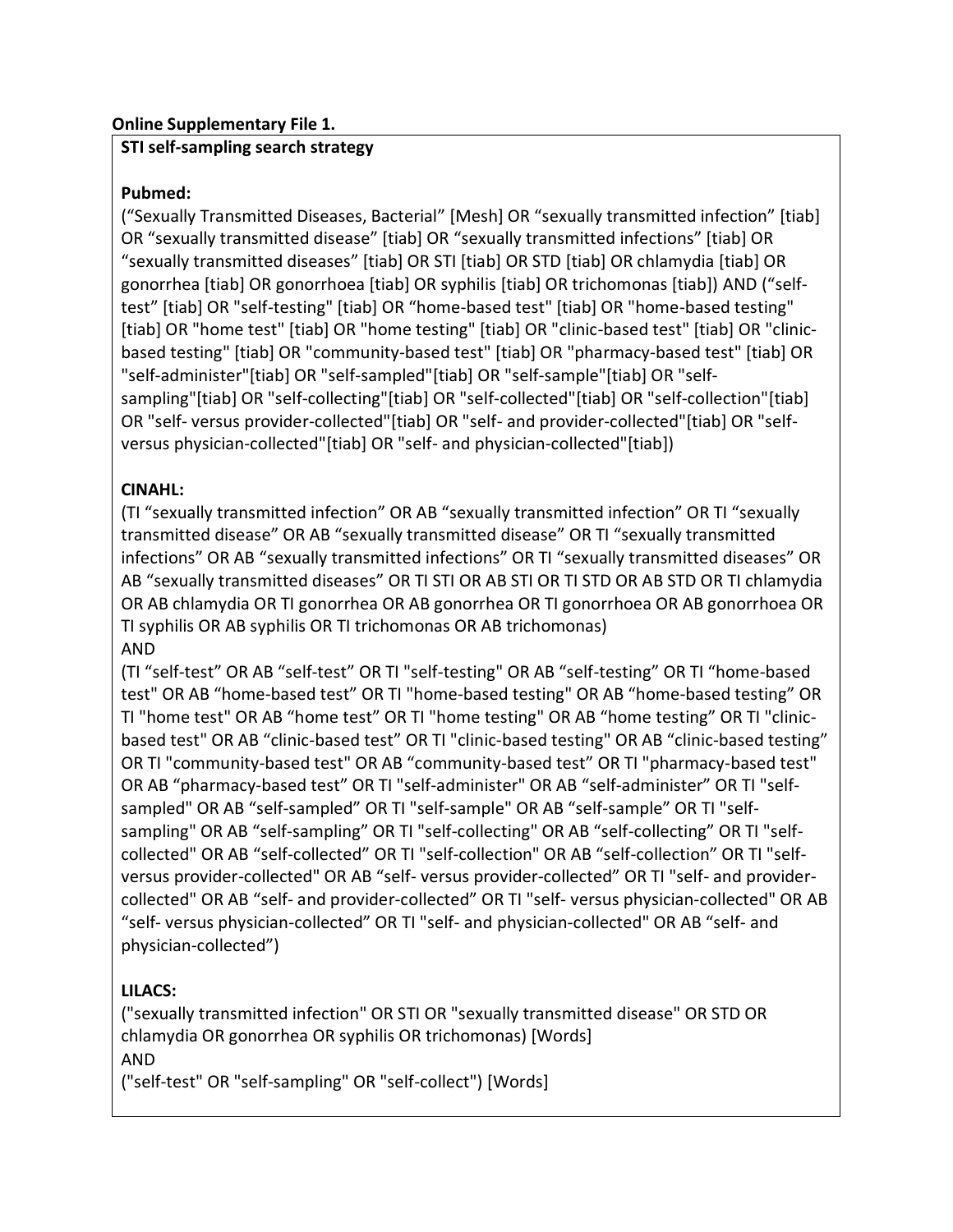### **Online Supplementary File 1.**

### **STI self-sampling search strategy**

# **Pubmed:**

("Sexually Transmitted Diseases, Bacterial" [Mesh] OR "sexually transmitted infection" [tiab] OR "sexually transmitted disease" [tiab] OR "sexually transmitted infections" [tiab] OR "sexually transmitted diseases" [tiab] OR STI [tiab] OR STD [tiab] OR chlamydia [tiab] OR gonorrhea [tiab] OR gonorrhoea [tiab] OR syphilis [tiab] OR trichomonas [tiab]) AND ("selftest" [tiab] OR "self-testing" [tiab] OR "home-based test" [tiab] OR "home-based testing" [tiab] OR "home test" [tiab] OR "home testing" [tiab] OR "clinic-based test" [tiab] OR "clinicbased testing" [tiab] OR "community-based test" [tiab] OR "pharmacy-based test" [tiab] OR "self-administer"[tiab] OR "self-sampled"[tiab] OR "self-sample"[tiab] OR "selfsampling"[tiab] OR "self-collecting"[tiab] OR "self-collected"[tiab] OR "self-collection"[tiab] OR "self- versus provider-collected"[tiab] OR "self- and provider-collected"[tiab] OR "selfversus physician-collected"[tiab] OR "self- and physician-collected"[tiab])

# **CINAHL:**

(TI "sexually transmitted infection" OR AB "sexually transmitted infection" OR TI "sexually transmitted disease" OR AB "sexually transmitted disease" OR TI "sexually transmitted infections" OR AB "sexually transmitted infections" OR TI "sexually transmitted diseases" OR AB "sexually transmitted diseases" OR TI STI OR AB STI OR TI STD OR AB STD OR TI chlamydia OR AB chlamydia OR TI gonorrhea OR AB gonorrhea OR TI gonorrhoea OR AB gonorrhoea OR TI syphilis OR AB syphilis OR TI trichomonas OR AB trichomonas) AND

(TI "self-test" OR AB "self-test" OR TI "self-testing" OR AB "self-testing" OR TI "home-based test" OR AB "home-based test" OR TI "home-based testing" OR AB "home-based testing" OR TI "home test" OR AB "home test" OR TI "home testing" OR AB "home testing" OR TI "clinicbased test" OR AB "clinic-based test" OR TI "clinic-based testing" OR AB "clinic-based testing" OR TI "community-based test" OR AB "community-based test" OR TI "pharmacy-based test" OR AB "pharmacy-based test" OR TI "self-administer" OR AB "self-administer" OR TI "selfsampled" OR AB "self-sampled" OR TI "self-sample" OR AB "self-sample" OR TI "selfsampling" OR AB "self-sampling" OR TI "self-collecting" OR AB "self-collecting" OR TI "selfcollected" OR AB "self-collected" OR TI "self-collection" OR AB "self-collection" OR TI "selfversus provider-collected" OR AB "self- versus provider-collected" OR TI "self- and providercollected" OR AB "self- and provider-collected" OR TI "self- versus physician-collected" OR AB "self- versus physician-collected" OR TI "self- and physician-collected" OR AB "self- and physician-collected")

# **LILACS:**

("sexually transmitted infection" OR STI OR "sexually transmitted disease" OR STD OR chlamydia OR gonorrhea OR syphilis OR trichomonas) [Words] AND

("self-test" OR "self-sampling" OR "self-collect") [Words]